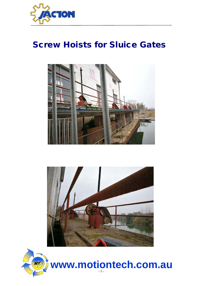

## Screw Hoists for Sluice Gates







- 1 **www.motiontech.com.au**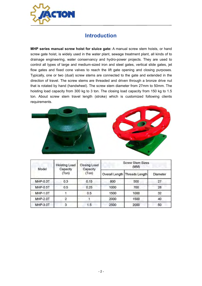

## Introduction

MHP series manual screw hoist for sluice gate: A manual screw stem hoists, or hand screw gate hoist, is widely used in the water plant, sewage treatment plant, all kinds of to drainage engineering, water conservancy and hydro-power projects. They are used to control all types of large and medium-sized iron and steel gates, vertical slide gates, jet flow gates and fixed cone valves to reach the lift gate opening and closing purposes. Typically, one or two (dual) screw stems are connected to the gate and extended in the direction of travel. The screw stems are threaded and driven through a bronze drive nut that is rotated by hand (handwheel). The screw stem diameter from 27mm to 50mm. The hoisting load capacity from 300 kg to 3 ton. The closing load capacity from 150 kg to 1.5 ton. About screw stem travel length (stroke) which is customized following clients requirements.



| Model           | <b>Hoisting Load</b><br>Capacity | <b>Closing Load</b><br>Capacity<br>(Ton) | <b>Screw Stem Sizes</b><br>(MM) |                               |          |  |  |  |
|-----------------|----------------------------------|------------------------------------------|---------------------------------|-------------------------------|----------|--|--|--|
|                 | (Ton)                            |                                          |                                 | Overall Length Threads Length | Diameter |  |  |  |
| <b>MHP-0.3T</b> | 0.3                              | 0.15                                     | 800                             | 500                           | 27       |  |  |  |
| MHP-0.5T        | 0.5                              | 0.25                                     | 1000                            | 700                           | 28       |  |  |  |
| MHP-1.0T        |                                  | 0.5                                      | 1500                            | 1000                          | 32       |  |  |  |
| MHP-2.0T        |                                  |                                          | 2000                            | 1500                          | 40       |  |  |  |
| MHP-3.0T        | з                                | 1.5                                      | 2500                            | 2000                          | 50       |  |  |  |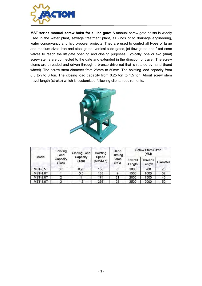

MST series manual screw hoist for sluice gate: A manual screw gate hoists is widely used in the water plant, sewage treatment plant, all kinds of to drainage engineering, water conservancy and hydro-power projects. They are used to control all types of large and medium-sized iron and steel gates, vertical slide gates, jet flow gates and fixed cone valves to reach the lift gate opening and closing purposes. Typically, one or two (dual) screw stems are connected to the gate and extended in the direction of travel. The screw stems are threaded and driven through a bronze drive nut that is rotated by hand (hand wheel). The screw stem diameter from 28mm to 50mm. The hoisting load capacity from 0.5 ton to 3 ton. The closing load capacity from 0.25 ton to 1.5 ton. About screw stem travel length (stroke) which is customized following clients requirements.



| Model           | Hoisting<br>Load  | Closing Load      | Hoisting          | Hand<br>Turning | <b>Screw Stem Sizes</b><br>(MM) |                   |          |  |
|-----------------|-------------------|-------------------|-------------------|-----------------|---------------------------------|-------------------|----------|--|
|                 | Capacity<br>(Ton) | Capacity<br>(Ton) | Speed<br>(MM/Min) | Force<br>(KG)   | Overall<br>Length               | Threads<br>Length | Diameter |  |
| <b>MST-0.5T</b> | 0.5               | 0.25              | 188               | 6               | 1000                            | 700               | 28       |  |
| <b>MST-1.0T</b> |                   | 0.5               | 188               | 9               | 1500                            | 1000              | 32       |  |
| <b>MST-2.0T</b> | 2                 |                   | 174               | 21              | 2000                            | 1500              | 40       |  |
| <b>MST-3.0T</b> | 3                 | 1.5               | 235               | 28              | 2500                            | 2000              | 50       |  |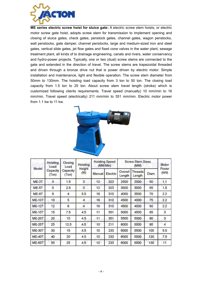

ME series electric screw hoist for sluice gate: A electric screw stem hoists, or electric motor screw gate hoist, adopts screw stem for transmission to implement opening and closing of sluice gates, check gates, penstock gates, channel gates, wagon penstocks, wall penstocks, gate damper, channel penstocks, large and medium-sized iron and steel gates, vertical slide gates, jet flow gates and fixed cone valves in the water plant, sewage treatment plant, all kinds of to drainage engineering, canals and rivers, water conservancy and hydro-power projects. Typically, one or two (dual) screw stems are connected to the gate and extended in the direction of travel. The screw stems are trapezoidal threaded and driven through a bronze drive nut that is power driven by electric motor. Simple installation and maintenance, light and flexible operation. The screw stem diameter from 50mm to 130mm. The hoisting load capacity from 3 ton to 50 ton. The closing load capacity from 1.5 ton to 25 ton. About screw stem travel length (stroke) which is customized following clients requirements. Travel speed (manually) 10 mm/min to 16 mm/min, Travel speed (electrically) 211 mm/min to 351 mm/min. Electric motor power from 1.1 kw to 11 kw.



| Model         | Hoisting<br>Load<br>Capacity<br>(Ton) | Closing<br>Load<br>Capacity<br>(Ton) | Hoisting      | <b>Hoisting Speed</b><br>(MM/Min) |          | <b>Screw Stem Sizes</b><br>(MM) |                   |       | Motor          |
|---------------|---------------------------------------|--------------------------------------|---------------|-----------------------------------|----------|---------------------------------|-------------------|-------|----------------|
|               |                                       |                                      | Height<br>(M) | Manual                            | Electric | Overall<br>Length               | Threads<br>Length | Diam. | Power<br>(kW)  |
| ME-3T         | 3                                     | 1.5                                  | 3             | 12                                | 323      | 2500                            | 2000              | 50    | 1.1            |
| <b>ME-5T</b>  | 5                                     | 2.5                                  | 3             | 12                                | 323      | 3500                            | 3000              | 55    | 1.5            |
| ME-8T         | 8                                     | $\overline{4}$                       | 3.5           | 16                                | 310      | 4000                            | 3500              | 70    | 2.2            |
| <b>ME-10T</b> | 10                                    | 5                                    | 4             | 16                                | 310      | 4500                            | 4000              | 75    | 2.2            |
| <b>ME-12T</b> | 12                                    | 6                                    | 4             | 16                                | 310      | 4500                            | 4000              | 80    | 2.2            |
| <b>ME-15T</b> | 15                                    | 7.5                                  | 4.5           | 11                                | 351      | 5000                            | 4500              | 85    | 3              |
| <b>ME-20T</b> | 20                                    | 10                                   | 4.5           | 11                                | 351      | 5500                            | 5000              | 90    | 3              |
| <b>ME-25T</b> | 25                                    | 12.5                                 | 4.5           | 10                                | 211      | 6000                            | 5500              | 95    | $\overline{4}$ |
| <b>ME-30T</b> | 30                                    | 15                                   | 4.5           | 10                                | 233      | 6000                            | 5500              | 100   | 5.5            |
| <b>ME-40T</b> | 40                                    | 20                                   | 4.5           | 10                                | 233      | 6000                            | 5500              | 120   | 7.5            |
| <b>ME-50T</b> | 50                                    | 25                                   | 4.5           | 10                                | 233      | 6000                            | 5500              | 130   | 11             |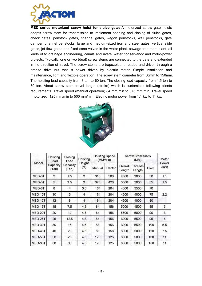

MED series motorized screw hoist for sluice gate: A motorized screw gate hoists adopts screw stem for transmission to implement opening and closing of sluice gates, check gates, penstock gates, channel gates, wagon penstocks, wall penstocks, gate damper, channel penstocks, large and medium-sized iron and steel gates, vertical slide gates, jet flow gates and fixed cone valves in the water plant, sewage treatment plant, all kinds of to drainage engineering, canals and rivers, water conservancy and hydro-power projects. Typically, one or two (dual) screw stems are connected to the gate and extended in the direction of travel. The screw stems are trapezoidal threaded and driven through a bronze drive nut that is power driven by electric motor. Simple installation and maintenance, light and flexible operation. The screw stem diameter from 50mm to 150mm. The hoisting load capacity from 3 ton to 60 ton. The closing load capacity from 1.5 ton to 30 ton. About screw stem travel length (stroke) which is customized following clients requirements. Travel speed (manual operation) 84 mm/min to 376 mm/min, Travel speed (motorized) 125 mm/min to 500 mm/min. Electric motor power from 1.1 kw to 11 kw.



| Model   | Hoisting<br>Load<br>Capacity<br>(Ton) | Closing<br>Load<br>Capacity<br>(Ton) | Hoisting      | <b>Hoisting Speed</b><br>(MM/Min) |          | <b>Screw Stem Sizes</b> | Motor                    |       |                |
|---------|---------------------------------------|--------------------------------------|---------------|-----------------------------------|----------|-------------------------|--------------------------|-------|----------------|
|         |                                       |                                      | Height<br>(M) | Manual                            | Electric | Overall<br>Length       | <b>Threads</b><br>Length | Diam. | Power<br>(kW)  |
| MED-3T  | 3                                     | 1.5                                  | 3             | 313                               | 500      | 2500                    | 2000                     | 50    | 1.1            |
| MED-5T  | 5                                     | 2.5                                  | 3             | 376                               | 420      | 3500                    | 3000                     | 55    | 1.5            |
| MED-8T  | 8                                     | 4                                    | 3.5           | 164                               | 204      | 4000                    | 3500                     | 70    | 2.2            |
| MED-10T | 10                                    | 5                                    | 4             | 164                               | 204      | 4500                    | 4000                     | 75    |                |
| MED-12T | 12                                    | 6                                    | 4             | 164                               | 204      | 4500                    | 4000                     | 80    |                |
| MED-15T | 15                                    | 7.5                                  | 4.3           | 84                                | 156      | 5000                    | 4500                     | 85    | 3              |
| MED-20T | 20                                    | 10                                   | 4.3           | 84                                | 156      | 5500                    | 5000                     | 90    | 3              |
| MED-25T | 25                                    | 12.5                                 | 4.3           | 84                                | 156      | 6000                    | 5500                     | 95    | $\overline{4}$ |
| MED-30T | 30                                    | 15                                   | 4.5           | 88                                | 156      | 6000                    | 5500                     | 100   | 5.5            |
| MED-40T | 40                                    | 20                                   | 4.5           | 88                                | 156      | 6000                    | 5000                     | 120   | 7.5            |
| MED-50T | 50                                    | 25                                   | 4.5           | 120                               | 125      | 6000                    | 5000                     | 130   | 11             |
| MED-60T | 60                                    | 30                                   | 4.5           | 120                               | 125      | 6000                    | 5000                     | 150   | 11             |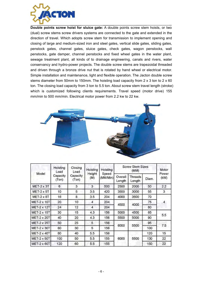

Double points screw hoist for sluice gate: A double points screw stem hoists, or two (dual) screw stems screw drivers systems are connected to the gate and extended in the direction of travel. Which adopts screw stem for transmission to implement opening and closing of large and medium-sized iron and steel gates, vertical slide gates, sliding gates, penstock gates, channel gates, sluice gates, check gates, wagon penstocks, wall penstocks, gate damper, channel penstocks and fixed wheel gates in the water plant, sewage treatment plant, all kinds of to drainage engineering, canals and rivers, water conservancy and hydro-power projects. The double screw stems are trapezoidal threaded and driven through a bronze drive nut that is rotated by hand wheel or electrical motor. Simple installation and maintenance, light and flexible operation. The Jacton double screw stems diameter from 50mm to 150mm. The hoisting load capacity from  $2 \times 3$  ton to  $2 \times 60$ ton. The closing load capacity from 3 ton to 5.5 ton. About screw stem travel length (stroke) which is customized following clients requirements. Travel speed (motor drive) 155 mm/min to 500 mm/min. Electrical motor power from 2.2 kw to 22 kw.



| Model              | Hoisting<br>Load  | Closing<br>Load<br>Capacity<br>(Ton) | Hoisting<br>Height<br>(M) | Hoisting<br>Speed<br>(MM/Min) | <b>Screw Stem Sizes</b> | Motor                    |       |               |
|--------------------|-------------------|--------------------------------------|---------------------------|-------------------------------|-------------------------|--------------------------|-------|---------------|
|                    | Capacity<br>(Ton) |                                      |                           |                               | Overall<br>Length       | <b>Threads</b><br>Length | Diam. | Power<br>(kW) |
| $MET-2 \times 3T$  | 6                 | 3                                    | 3                         | 500                           | 2500                    | 2000                     | 50    | 2.2           |
| $MET-2 \times 5T$  | 10                | 5                                    | 3.5                       | 420                           | 3500                    | 3000                     | 55    | 3             |
| <b>MET-2 x 8T</b>  | 16                | 8                                    | 3.5                       | 204                           | 4000<br>4500            | 3500                     | 70    | 4             |
| <b>MET-2 x 10T</b> | 20                | 10                                   | 4                         | 204                           |                         | 4000                     | 75    |               |
| <b>MET-2 x 12T</b> | 24                | 12                                   | $\overline{4}$            | 204                           |                         |                          | 80    |               |
| <b>MET-2 x 15T</b> | 30                | 15                                   | 4.3                       | 156                           | 5000                    | 4500                     | 85    |               |
| <b>MET-2 x 20T</b> | 40                | 20                                   | 4.3                       | 156                           | 5500                    | 5000                     | 90    | 5.5           |
| <b>MET-2 x 25T</b> | 50                | 25                                   | 5                         | 156                           | 6000                    | 5500                     | 95    |               |
| <b>MET-2 x 30T</b> | 60                | 30                                   | 5                         | 156                           |                         |                          | 100   | 7.5           |
| <b>MET-2 x 40T</b> | 80                | 40                                   | 5.5                       | 156                           | 6000                    |                          | 120   | 15            |
| <b>MET-2 x 50T</b> | 100               | 50                                   | 5.5                       | 155                           |                         | 5500                     | 130   | 22            |
| <b>MET-2 x 60T</b> | 120               | 60                                   | 5.5                       | 155                           |                         |                          | 150   | 22            |